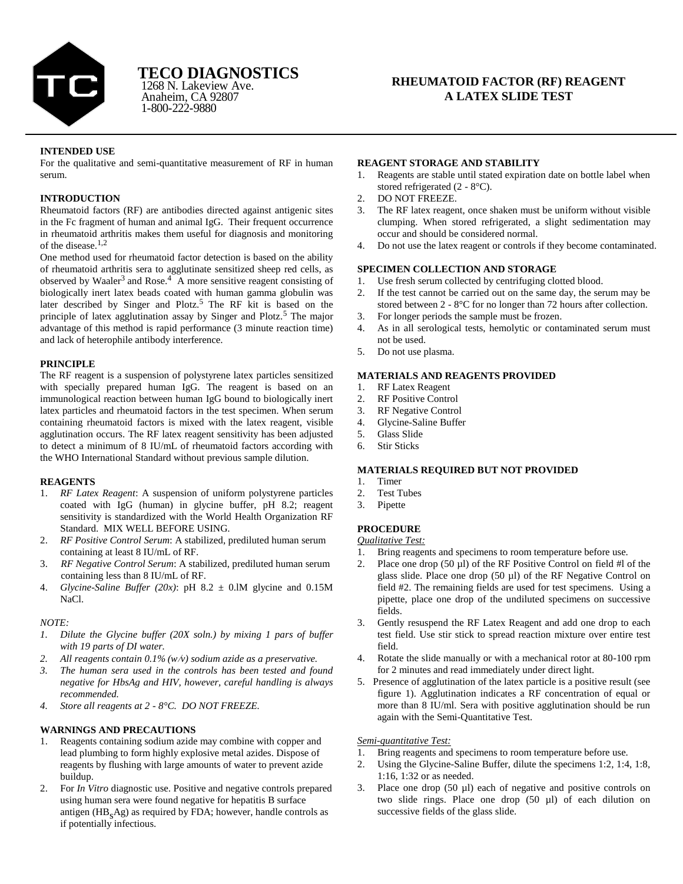

Anaheim, CA 92807 1-800-222-9880 1268 N. Lakeview Ave.

# **RHEUMATOID FACTOR (RF) REAGENT A LATEX SLIDE TEST**

# **INTENDED USE**

For the qualitative and semi-quantitative measurement of RF in human serum.

# **INTRODUCTION**

Rheumatoid factors (RF) are antibodies directed against antigenic sites in the Fc fragment of human and animal IgG. Their frequent occurrence in rheumatoid arthritis makes them useful for diagnosis and monitoring of the disease. $1,2$ 

One method used for rheumatoid factor detection is based on the ability of rheumatoid arthritis sera to agglutinate sensitized sheep red cells, as observed by Waaler<sup>3</sup> and Rose.<sup>4</sup> A more sensitive reagent consisting of biologically inert latex beads coated with human gamma globulin was later described by Singer and Plotz.5 The RF kit is based on the principle of latex agglutination assay by Singer and Plotz.<sup>5</sup> The major advantage of this method is rapid performance (3 minute reaction time) and lack of heterophile antibody interference.

# **PRINCIPLE**

The RF reagent is a suspension of polystyrene latex particles sensitized with specially prepared human IgG. The reagent is based on an immunological reaction between human IgG bound to biologically inert latex particles and rheumatoid factors in the test specimen. When serum containing rheumatoid factors is mixed with the latex reagent, visible agglutination occurs. The RF latex reagent sensitivity has been adjusted to detect a minimum of 8 IU/mL of rheumatoid factors according with the WHO International Standard without previous sample dilution.

# **REAGENTS**

- 1. *RF Latex Reagent*: A suspension of uniform polystyrene particles coated with IgG (human) in glycine buffer, pH 8.2; reagent sensitivity is standardized with the World Health Organization RF Standard. MIX WELL BEFORE USING.
- 2. *RF Positive Control Serum*: A stabilized, prediluted human serum containing at least 8 IU/mL of RF.
- 3. *RF Negative Control Serum*: A stabilized, prediluted human serum containing less than 8 IU/mL of RF.
- 4. *Glycine-Saline Buffer (20x)*: pH  $8.2 \pm 0.1M$  glycine and  $0.15M$ NaCl.

#### *NOTE:*

- *1. Dilute the Glycine buffer (20X soln.) by mixing 1 pars of buffer with 19 parts of DI water.*
- *2. All reagents contain 0.1% (wv) sodium azide as a preservative.*
- *3. The human sera used in the controls has been tested and found negative for HbsAg and HIV, however, careful handling is always recommended.*
- *4. Store all reagents at 2 - 8°C. DO NOT FREEZE.*

# **WARNINGS AND PRECAUTIONS**

- 1. Reagents containing sodium azide may combine with copper and lead plumbing to form highly explosive metal azides. Dispose of reagents by flushing with large amounts of water to prevent azide buildup.
- 2. For *In Vitro* diagnostic use. Positive and negative controls prepared using human sera were found negative for hepatitis B surface antigen (HB<sub>s</sub>Ag) as required by FDA; however, handle controls as if potentially infectious.

### **REAGENT STORAGE AND STABILITY**

- 1. Reagents are stable until stated expiration date on bottle label when stored refrigerated (2 - 8°C).
- 2. DO NOT FREEZE.
- 3. The RF latex reagent, once shaken must be uniform without visible clumping. When stored refrigerated, a slight sedimentation may occur and should be considered normal.
- 4. Do not use the latex reagent or controls if they become contaminated.

# **SPECIMEN COLLECTION AND STORAGE**

- 1. Use fresh serum collected by centrifuging clotted blood.
- 2. If the test cannot be carried out on the same day, the serum may be stored between 2 - 8°C for no longer than 72 hours after collection.
- 3. For longer periods the sample must be frozen.
- 4. As in all serological tests, hemolytic or contaminated serum must not be used.
- 5. Do not use plasma.

# **MATERIALS AND REAGENTS PROVIDED**

- 1. RF Latex Reagent
- 2. RF Positive Control
- 3. RF Negative Control
- 4. Glycine-Saline Buffer
- 5. Glass Slide
- 6. Stir Sticks

# **MATERIALS REQUIRED BUT NOT PROVIDED**

- 1. Timer
- 2. Test Tubes
- 3. Pipette

# **PROCEDURE**

*Qualitative Test:*

- 1. Bring reagents and specimens to room temperature before use.
- 2. Place one drop  $(50 \mu l)$  of the RF Positive Control on field #l of the glass slide. Place one drop (50 µl) of the RF Negative Control on field #2. The remaining fields are used for test specimens. Using a pipette, place one drop of the undiluted specimens on successive fields.
- 3. Gently resuspend the RF Latex Reagent and add one drop to each test field. Use stir stick to spread reaction mixture over entire test field.
- 4. Rotate the slide manually or with a mechanical rotor at 80-100 rpm for 2 minutes and read immediately under direct light.
- 5. Presence of agglutination of the latex particle is a positive result (see figure 1). Agglutination indicates a RF concentration of equal or more than 8 IU/ml. Sera with positive agglutination should be run again with the Semi-Quantitative Test.

# *Semi-quantitative Test:*

- 1. Bring reagents and specimens to room temperature before use.
- 2. Using the Glycine-Saline Buffer, dilute the specimens 1:2, 1:4, 1:8, 1:16, 1:32 or as needed.
- 3. Place one drop (50 µl) each of negative and positive controls on two slide rings. Place one drop (50 µl) of each dilution on successive fields of the glass slide.